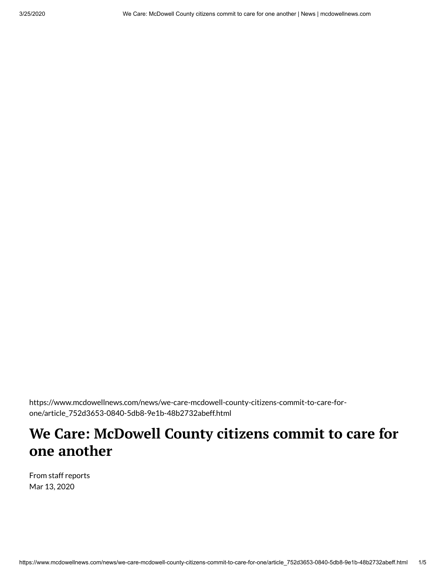https://www.mcdowellnews.com/news/we-care-mcdowell-county-citizens-commit-to-care-forone/article\_752d3653-0840-5db8-9e1b-48b2732abeff.html

## **We Care: McDowell County citizens commit to care for one another**

From staff reports Mar 13, 2020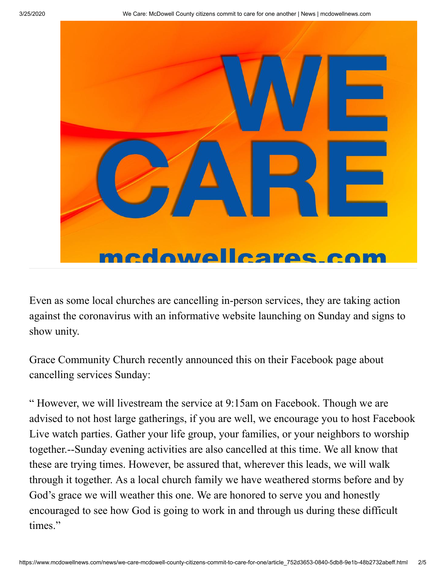

Even as some local churches are cancelling in-person services, they are taking action against the coronavirus with an informative website launching on Sunday and signs to show unity.

Grace Community Church recently announced this on their Facebook page about cancelling services Sunday:

" However, we will livestream the service at 9:15am on Facebook. Though we are advised to not host large gatherings, if you are well, we encourage you to host Facebook Live watch parties. Gather your life group, your families, or your neighbors to worship together.--Sunday evening activities are also cancelled at this time. We all know that these are trying times. However, be assured that, wherever this leads, we will walk through it together. As a local church family we have weathered storms before and by God's grace we will weather this one. We are honored to serve you and honestly encouraged to see how God is going to work in and through us during these difficult times."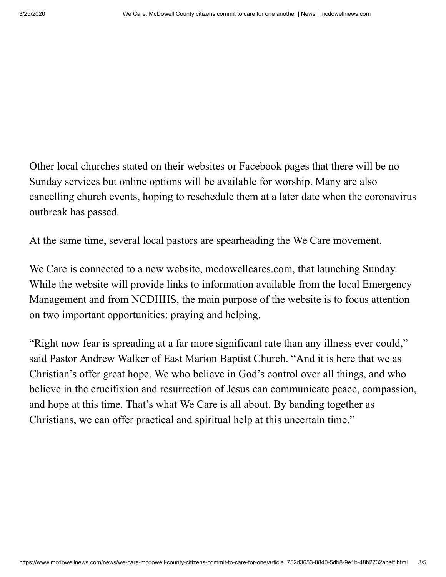Other local churches stated on their websites or Facebook pages that there will be no Sunday services but online options will be available for worship. Many are also cancelling church events, hoping to reschedule them at a later date when the coronavirus outbreak has passed.

At the same time, several local pastors are spearheading the We Care movement.

We Care is connected to a new website, [mcdowellcares.com,](http://mcdowellcares.com/) that launching Sunday. While the website will provide links to information available from the local Emergency Management and from NCDHHS, the main purpose of the website is to focus attention on two important opportunities: praying and helping.

"Right now fear is spreading at a far more significant rate than any illness ever could," said Pastor Andrew Walker of East Marion Baptist Church. "And it is here that we as Christian's offer great hope. We who believe in God's control over all things, and who believe in the crucifixion and resurrection of Jesus can communicate peace, compassion, and hope at this time. That's what We Care is all about. By banding together as Christians, we can offer practical and spiritual help at this uncertain time."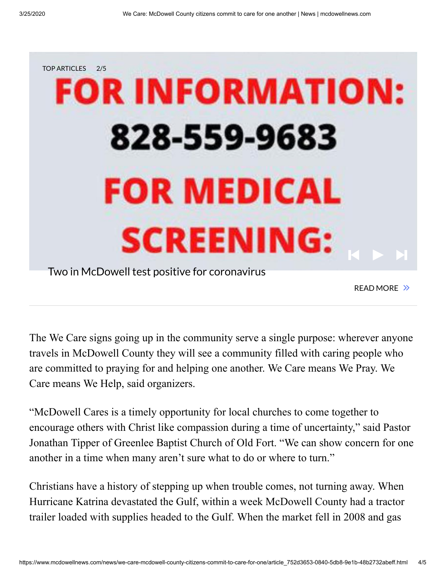

Two in McDowell test positive for [coronavirus](javascript:void(0))

READ MORE >>

The We Care signs going up in the community serve a single purpose: wherever anyone travels in McDowell County they will see a community filled with caring people who are committed to praying for and helping one another. We Care means We Pray. We Care means We Help, said organizers.

"McDowell Cares is a timely opportunity for local churches to come together to encourage others with Christ like compassion during a time of uncertainty," said Pastor Jonathan Tipper of Greenlee Baptist Church of Old Fort. "We can show concern for one another in a time when many aren't sure what to do or where to turn."

Christians have a history of stepping up when trouble comes, not turning away. When Hurricane Katrina devastated the Gulf, within a week McDowell County had a tractor trailer loaded with supplies headed to the Gulf. When the market fell in 2008 and gas